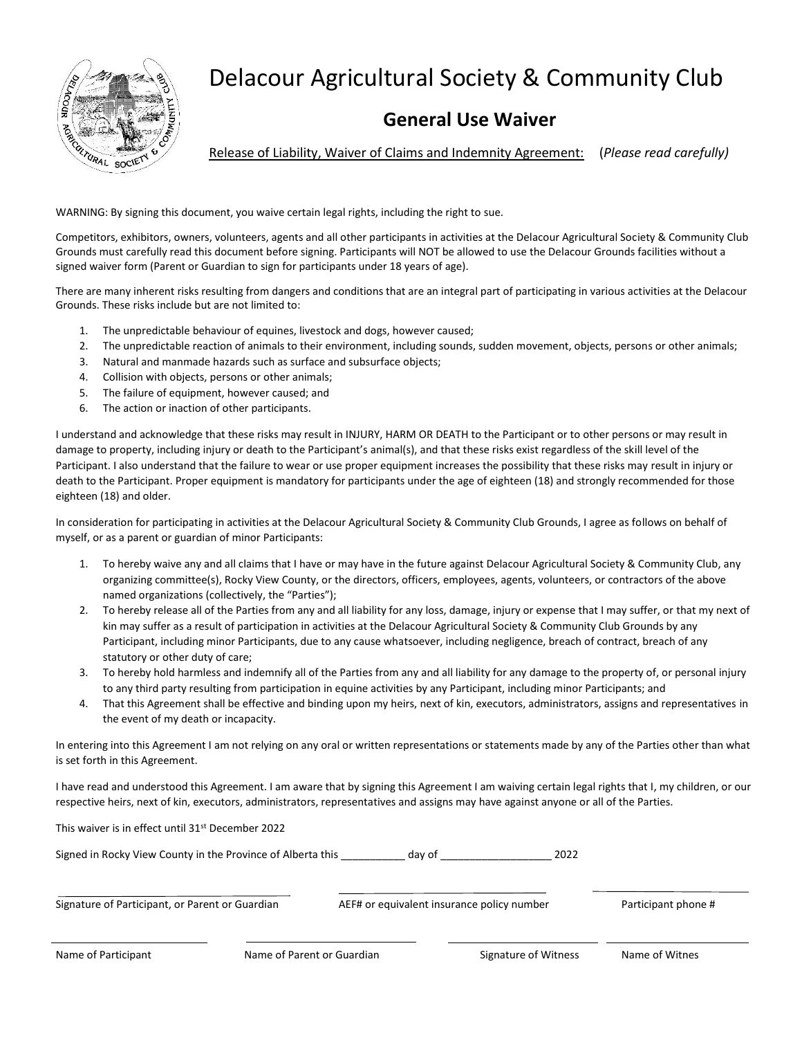

## Delacour Agricultural Society & Community Club

## **General Use Waiver**

Release of Liability, Waiver of Claims and Indemnity Agreement: (*Please read carefully)*

WARNING: By signing this document, you waive certain legal rights, including the right to sue.

Competitors, exhibitors, owners, volunteers, agents and all other participants in activities at the Delacour Agricultural Society & Community Club Grounds must carefully read this document before signing. Participants will NOT be allowed to use the Delacour Grounds facilities without a signed waiver form (Parent or Guardian to sign for participants under 18 years of age).

There are many inherent risks resulting from dangers and conditions that are an integral part of participating in various activities at the Delacour Grounds. These risks include but are not limited to:

- 1. The unpredictable behaviour of equines, livestock and dogs, however caused;
- 2. The unpredictable reaction of animals to their environment, including sounds, sudden movement, objects, persons or other animals;
- 3. Natural and manmade hazards such as surface and subsurface objects;
- 4. Collision with objects, persons or other animals;
- 5. The failure of equipment, however caused; and
- 6. The action or inaction of other participants.

I understand and acknowledge that these risks may result in INJURY, HARM OR DEATH to the Participant or to other persons or may result in damage to property, including injury or death to the Participant's animal(s), and that these risks exist regardless of the skill level of the Participant. I also understand that the failure to wear or use proper equipment increases the possibility that these risks may result in injury or death to the Participant. Proper equipment is mandatory for participants under the age of eighteen (18) and strongly recommended for those eighteen (18) and older.

In consideration for participating in activities at the Delacour Agricultural Society & Community Club Grounds, I agree as follows on behalf of myself, or as a parent or guardian of minor Participants:

- 1. To hereby waive any and all claims that I have or may have in the future against Delacour Agricultural Society & Community Club, any organizing committee(s), Rocky View County, or the directors, officers, employees, agents, volunteers, or contractors of the above named organizations (collectively, the "Parties");
- 2. To hereby release all of the Parties from any and all liability for any loss, damage, injury or expense that I may suffer, or that my next of kin may suffer as a result of participation in activities at the Delacour Agricultural Society & Community Club Grounds by any Participant, including minor Participants, due to any cause whatsoever, including negligence, breach of contract, breach of any statutory or other duty of care;
- 3. To hereby hold harmless and indemnify all of the Parties from any and all liability for any damage to the property of, or personal injury to any third party resulting from participation in equine activities by any Participant, including minor Participants; and
- 4. That this Agreement shall be effective and binding upon my heirs, next of kin, executors, administrators, assigns and representatives in the event of my death or incapacity.

In entering into this Agreement I am not relying on any oral or written representations or statements made by any of the Parties other than what is set forth in this Agreement.

I have read and understood this Agreement. I am aware that by signing this Agreement I am waiving certain legal rights that I, my children, or our respective heirs, next of kin, executors, administrators, representatives and assigns may have against anyone or all of the Parties.

|                                                             | This waiver is in effect until 31 <sup>st</sup> December 2022 |        |                                            |                     |  |  |
|-------------------------------------------------------------|---------------------------------------------------------------|--------|--------------------------------------------|---------------------|--|--|
| Signed in Rocky View County in the Province of Alberta this |                                                               | dav of | 2022                                       |                     |  |  |
| Signature of Participant, or Parent or Guardian             |                                                               |        | AEF# or equivalent insurance policy number | Participant phone # |  |  |
| Name of Participant                                         | Name of Parent or Guardian                                    |        | Signature of Witness                       | Name of Witnes      |  |  |